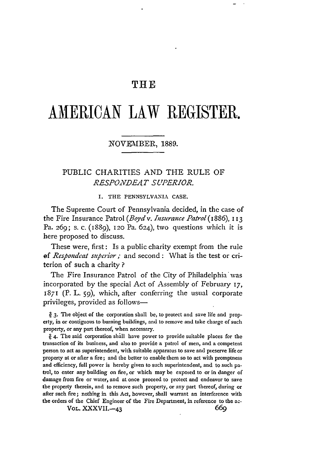# THE

# **AMERICAN** LAW REGISTER.

# NOVEMBER, 1889.

# PUBLIC CHARITIES AND THE RULE OF *RESPONDEA T SLTPERIOR.*

**I.** THE **PENNSYLVANIA CASE.**

The Supreme Court of Pennsylvania decided, in the case of the Fire Insurance Patrol *(Boydv. hIsurance Patrol* (1886), **<sup>113</sup>** Pa. 269; s. c. (1889), **120** Pa. 624), two questions which it is here proposed to discuss.

These were, first: Is a public charity exempt from the rule *of Respondeat superior;* and second: What is the test or criterion of such a charity *?*

The Fire Insurance Patrol of the City of Philadelphia was incorporated by the special Act of Assembly of February 17, 1871 (P. L. 59), which, after conferring the usual corporate privileges, provided as follows-

**3.** The object of the corporation shall be, to protect and save life and property, in or contiguous to burning buildings, and to remove and take charge of such property, or any part thereof, when necessary.

4. The said corporation shall have power to provide suitable places for the transaction of its business, and also to provide a patrol of men, and a competent person to act as superintendent, with suitable apparatus to save and preserve life or property at or after a fire; and the better to enable them so to act with promptness and efficiency, full power is hereby given to such superintendent, and to such patrol, to enter any building on fire, or which may be exposed to or in danger of damage from fire or water, and at once proceed to protect and endeavor to save the property therein, and to remove such property, or any part thereof, during or after such fire; nothing in this Act, however, shall warrant an interference with the orders of the Chief Engineer of the Fire Department, in reference to the ac-

Vol. XXXVII.—43 **669**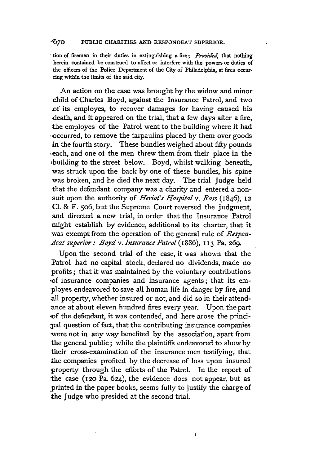tion **of** firemen in their **duties** in extinguishing a fire; *Provided,* that nothing herein contained be construed to affect or interfere with the powers or duties of the officers of the Police Department of the City of Philadelphia, at fires occurring within the limits of the said city.

An action on the case was brought by the widow and minor child of Charles Boyd, against the Insurance Patrol, and two of its employes, to recover damages for having caused his death, and it appeared on the trial, that a few days after a fire, the employes of the Patrol went to the building where it had -occurred, to remove the tarpaulins placed by them over goods in the fourth story. These bundles weighed about fifty pounds -each, and one of the men threw them from their place in the tbuilding to the street below. Boyd, whilst walking beneath, was struck upon the back by one of these bundles, his spine was broken, and he died the next day. The trial Judge held that the defendant company was a charity and entered a nonsuit upon the authority of *Heriot's Hospital v. Ross* (1846), 12 **Cl.** & F. 5o6, but the Supreme Court reversed the judgment, and directed a new trial, in order that the Insurance Patrol might establish by evidence, additional to its charter, that it was exempt from the operation of the general rule of *Respon- .deat superior: Boyd v. Insurance Patrol* (1886), 113 Pa. **269.**

Upon the second trial of the case, it was shown that the Tatrol had no capital stock, declared no dividends, made no profits; that it was maintained by the voluntary contributions *,of* insurance companies and insurance agents; that its em- -ployes endeavored to save all human life in danger by fire, and all property, whether insured or not, and did so in their attendance at about eleven hundred fires every year. Upon the part of the defendant, it was contended, and here arose the principal question of fact, that the contributing insurance companies were not in any way benefited by the association, apart from the general public; while the plaintiffs endeavored to show by their cross-examination of the insurance men testifying, that the companies profited by the decrease of loss upon insured property through the efforts of the Patrol. In the report of the case **(120** Pa. 624), the evidence does not appear, but as printed in the paper books, seems fully to justify the charge of the Judge who presided at the second trial.

J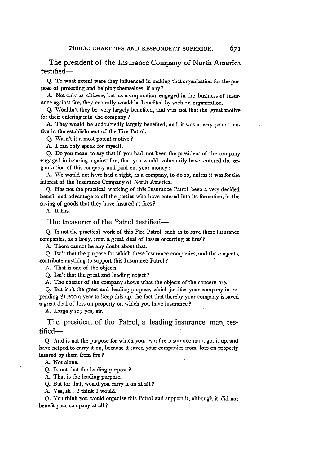The president of the Insurance Company of North America testified-

Q. To what extent were they influenced in making that organization for the purpose of protecting and helping themselves, if any?

A. Not only as citizens, but as a corporation engaged in the business of insurance against fire, they naturally would be benefited by such an organization.

Q. Wouldn't they be very largely benefited, and was not that the great motive for their entering into the company **?**

A. They would be undoubtedly largely benefited, and it was a very potent motive in the establishment of the Fire Patrol.

Q. Wasn't it a most potent motive **?**

A. I can only speak for myself.

Q. Do you mean to say that if you had not been the president of the company engaged in insuring against fire, that you would voluntarily have entered the or- .ganization of this company and paid out your money?

A. We would not have had a right, as a company, to do so, unless it was for the interest of the Insurance Company of North America.

Q. Has not the practical working of this Insurance Patrol been a very decided benefit and advantage to all the parties who have entered into its formation, in the saving of goods that they have insured at fires?

A. It has.

The treasurer of the Patrol testified-

Q. Is not the practical work of this Fire Patrol such as to save these insurance companies, as a body, from a great deal of losses occurring at fires ?

A. There cannot be any doubt about that.

Q. Isn't that the purpose for which these insurance companies, and these agents, contribute anything to support this Insurance Patrol **?**

A. That is one of the objects.

Q. Isn't that the great and leading object **?**

A. The charter of the company shows what the objects of the concern are.

Q. But isn't the great and leading purpose, which justifies your company in expending \$r,2oo a year to keep this up, the fact that thereby your company is saved a great deal of loss on property on which you have insurance **?**

A. Largely so; yes, sir.

The president of the Patrol, a leading insurance man, testified-

Q. And is not the purpose for which you, as a fire insurance man, got it up, and have helped to carry it on, because it saved your companies from loss on property insured by them from fire?

A. Not alone.

Q. Is not that the leading purpose **?**

A. That is the leading purpose.

Q. But for that, would you carry it on at all?

A. Yes, sir, 1 think I would.

Q. You think you would organize this Patrol and support it, although it did not benefit your company at all?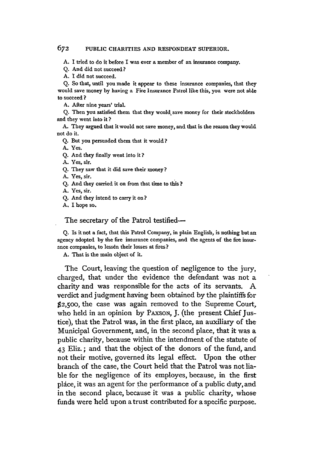**A.** I tried to do it before **I** was ever a member of an insurance company.

**Q.** And did not succeed?

A. I did not succeed.

**Q.** So that, until you made it appear to these insurance companies, that they would save money **by** having a Fire Insurance Patrol like this, you were not able to succeed **?**

**A.** After nine years' trial.

**Q.** Then you satisfied them that they would. save money for their stockholders and they went into it?

**A.** They argued that it would not save money, and that is the reason they would not do it.

**Q.** But you persuaded them that it would?

**A.** Yes.

**Q.** And they finally went into it?

**A.** Yes, sir.

**Q.** They saw that it did save their money?

**A.** Yes, sir.

Q. And they carried it on from that time to this **?**

**A.** Yes, sir.

**Q.** And they intend to carry it on?

*A,* I hope so.

### The secretary of the Patrol testified-

Q. Is it not a fact, that this Patrol Company, in plain English, is nothing but **art** agency adopted by the fire insurance companies, and the agents of the fire insurance companies, to lessen their losses at fires?

A. That is the main object of it.

The Court, leaving the question of negligence to the jury, charged, that under the evidence the defendant was not a charity and was responsible for the acts of its servants. **A** verdict and judgment having been obtained by the plaintiffs for **\$2,500,** the case was again removed to the Supreme Court, who held in an opinion by PAXSON, J. (the present Chief Justice), that the Patrol was, in the first place, an auxiliary of the Municipal Government, and, in the second place, that it was a public charity, because within the intendment of the statute of 43 Eliz. ; and that the object of the donors of the fund, and not their motive, governed its legal effect. Upon the other branch of the case, the Court held that the Patrol was not liable for the negligence of its employes, because, in the first place, it was an agent for the performance of a public duty, and in the second place, because it was a public charity, whose funds were held upon a trust contributed for a specific purpose.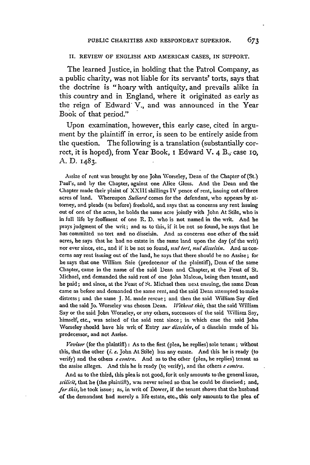#### **II. REVIEW OF ENGLISH AND AMERICAN CASES, IN SUPPORT.**

The learned Justice, in holding that the Patrol Company, as a public charity, was not liable for its servants' torts, says that the doctrine is "hoary with antiquity, and prevails alike in this country and in England, where it originated as early as the reign of Edward V., and was announced in the Year Book of that period."

Upon examination, however, this early case, cited in argument by the plaintiff in error, is seen to be entirely aside from the question. The following is a translation (substantially correct, it is hoped), from Year Book, I Edward V. 4 B., case io, **A. D.** 1483.

Assize of rent was brought **by** one John Worseley, Dean of the Chapter of (St.) Paul's, and by the Chapter, against one Alice Gloss. And the Dean and the Chapter made their plaint of XXIII shillings IV pence of rent, issuing out of three acres of land. Whereupon *Suliard* comes for the defendant, who appears **by** attorney, and pleads (as before) freehold, and says that as concerns any rent issuing out of one of the acres, be holds the same acre jointly with John At Stile, who is in full life **by** feoffinent of one R. **D.** who is not named in the writ. And he prays judgment of the writ; and as to this, if it be not so found, **he** says that he has committed no tort and no disseisin. And as concerns one other of the said acres, he says that **he** had no estate in the same land upon the day (of the writ) nor ever since, etc., and if it be not so found, *nul tort, nul disseisin.* And as concerns any rent issuing out of the land, he says that there should he no Assise; for he says that one William Sale (predecessor of the plaintiff), Dean of the same Chapter, came in the name of the said Dean and Chapter, at the Feast of St. Michael, and demanded the said rent of one John Maleon, being then tenant, and he paid; and since, at the Feast of St. Michael then next ensuing, the same Dean came as before and demanded the same rent, and the said Dean attempted to make distress; and the same **J. M.** made rescue; and then the said William Say died and the said Jo. Worseley was chosen Dean. *INthout this,* that the said William Say or the said John Vorseley, or any others, successors of the said William Say, himself, etc., was seised of the said rent since; in which case the said John Worseley should have his writ of Entry *sur disseisin,* of a disseisin made of hi, predecessor, and not Assise.

*Vavijor* (for the plaintiff) **:** As to the first (plea, he replies) sole tenant; without this, **that** the other *(i. e.* John At Stile) has any estate. And this be is ready (to verify) and the others *e contra.* And as **to the** other (plea, he replies) tenant as the assise alleges. And this he is ready (to verify), and the others *e contra.*

And as to the third, this plea is not good, for it only amounts to the general issue, *scilicit,* that he (the plaintiff), was never seised so that he could be disseised; and, *for this,* he took issue; as, in writ of Dower, if the tenant shows that the husband -of the demandant had merely a life estate, etc., this only amounts to the plea of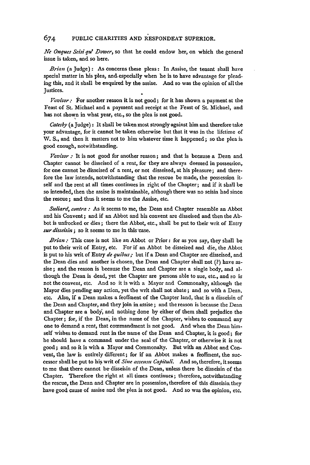*Are Onques Seis'qu' Dower,* so that he could endow her, on which the general issue is taken, and so here.

*Brian* (a Judge) : As concerns these pleas: In Assise, the tenant shall have special matter in his plea, and-especially when he is to have advantage for pleading this, and it shall be enquired by the assise. And so was the opinion of all the Justices.

*Vavisor:* For another reason it is not good; for it has shown a payment at the Feast of St. Michael and a payment and receipt at the Feast of St. Michael, and has not shown in what year, etc., so the plea is not good.

*Catesby* (a Judge) **:** It shall be taken most strongly against him and therefore take your advantage, for it cannot be taken otherwise but that it was in the lifetime of **NV.** S., and then it matters not to him whatever time it happened; so the plea is good enough, notwithstanding.

*Vavisor :* It is not good for another reason; and that is because a Dean and Chapter cannot be disseised of a rent, for they are always deemed in possession, for one cannot be disseised of a rent, or not disseised, at his pleasure; and therefore the law intends, notwithstanding that the rescue be made, the possession itself and the rent at all times continues in right of the Chapter; and if it shall be so intended, then the assise is maintainable, although there was no seisin had since the rescue; and thus it seems to me the Assise, etc.

*Suliard, contra :* As it seems to me, the Dean and Chapter resemble an Abbot and his Convent; and if an Abbot and his convent are disseised and then the **Ab**bot is unfrocked or dies; there the Abbot, etc., shall be put to their writ of Entry sur disseisin; so it seems to me in this case.

*Brian:* This case is not like an Abbot or Prior: for as you say, they shall be put to their writ of Entry, etc. For if an Abbot be disseized and die, the Abbot is put to his writ of Entry *de quibus;* but if a Dean and Chapter are disseised, and the Dean dies and another is chosen, the Dean and Chapter shall not (?) have assise; and the reason is because the Dean and Chapter are a single body, and although the Dean is dead, yet the Chapter are persons able to sue, etc., and so is not the convent, etc. And so it is with a Mayor and Commonalty, although the Mayor dies pending any action, yet the writ shall not abate; and so with a Dean. etc. Also, if a Dean makes a feoffment of the Chapter land, that is a disseisin of the Dean and Chapter, and they join in assise; and the reason is because the Dean and Chapter are a body, and nothing done by either of them shall prejudice the Chapter; for, if the Dean, in the name of the Chapter, wishes to command any one to demand a rent, that commandment is not good. And when the Dean himself wishes to demand rent in the name of the Dean and Chapter, it is good; for he should have a command under the seal of the Chapter, or otherwise it is not good; and so it is with a Mayor and Commonalty. But with an Abbot and Convent, the law is entirely different; for if an Abbot makes a feoffment, the successor shall be put to his writ of *Sine assensu Capituli.* And so, therefore, it seems to me that there cannot be disseisin of the Dean, unless there be disseisin of the Chapter. Therefore the right at all times continues; therefore, notwithstanding the rescue, the Dean and Chapter are in possession, therefore of this disseisin they have good cause of assise and the plea is not good. And so was the opinion, etc.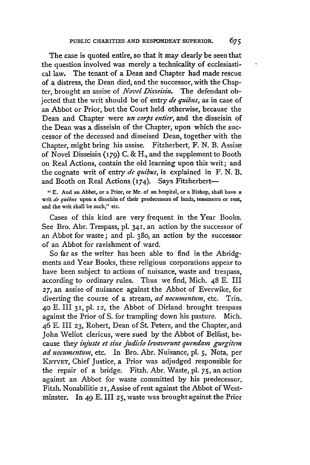The case is quoted entire, so that it may clearly be seen that the question involved was merely a technicality of ecclesiastical law. The tenant of a Dean and Chapter had made rescue of a distress, the Dean died, and the successor, with the Chapter, brought an assise of *Novel Disseisin.* The defendant objected that the writ should be of entry *de quibus,* as in case of an Abbot or Prior, but the Court held otherwise, because the Dean and Chapter were *un corps entier,* and the disseisin of the Dean was a disseisin of the Chapter, upon which the successor of the deceased and disseised Dean, together with the Chapter, might bring his assise. Fitzherbert, F. N. B. Assise of Novel Disseisin *(179)* C. & H., and the supplement to Booth on Real Actions, contain the old learning upon this writ; and the cognate writ of entry *de quibus,* is explained in F. N. B. and Booth on Real Actions (174). Says Fitzherbert-

**"E.** And an Abbot, or a Prior, or Mr. of an hospital, or a Bishop, shall have a writ *de quibus* upon a disseisin of their predecessors of lands, tenements or rent, and the writ shall be such," etc.

Cases of this kind are very frequent in the Year Books. See Bro. Abr. Trespass, **pl.** 341, an action by the successor of an Abbot for waste; and **pl.** 380, an action **by** the successor of an Abbot for ravishment of ward.

So far as the writer has been able to find in the Abridgments and Year Books, these religious corporations appear to have been subject to actions of nuisance, waste and trespass, according to ordinary rules. Thus we find, Mich. 48 E. III **27,** an assise of nuisance against the Abbot of Everwike, for diverting the course of a stream, *ad nocwmentum,* etc. Trin. **40 E.** III **31, pl. 12,** the Abbot of Dirland brought trespass against the Prior of **S.** for trampling down his pasture. Mich. 46 E. **III 23,** Robert, Dean of **St.** Peters, and the Chapter, and John Weliot clericus, were sued **by** the Abbot of Belfast, because they *injuste et sine judicio levaverunt quendam gurgitem ad nocumentum,* etc. In Bro. Abr. Nuisance, pl. **5,** Nota, per KNYVET, Chief Justice, a Prior was adjudged responsible for the repair of a bridge. Fitzh. Abr. Waste, pl. 75, an action against an Abbot for waste committed by his predecessor. Fitzh. Nonabilitie 21, Assise of rent against the Abbot of Westminster. In 49 **E.** III **25,** waste was brought against the Prior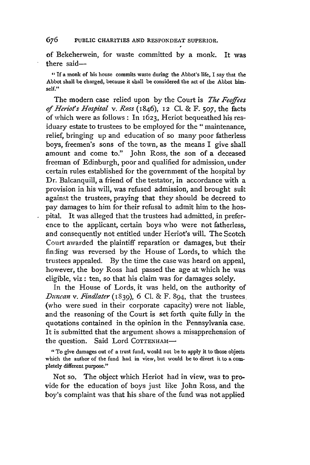of Bekeherwein, for waste committed by a monk. It was there said-

*"* If a monk of his house commits waste during the Abbot's life, I say that the Abbot shall be charged, because it shall be considered the act of the Abbot himself."

The modern case relied upon by the Court is *The Feoffees of Heriot's Hospital v. Ross* (1846), 12 **Cl.** & F. 507, the facts of which were as follows **:** In 1623, Heriot bequeathed his residuary estate to trustees to be employed for the "maintenance, relief, bringing up and education of so many poor fatherless boys, freemen's sons of the town, as the means I give shall amount and come to." John Ross, the son of a deceased freeman of Edinburgh, poor and qualified for admission, under certain rules established for the government of the hospital by Dr. Balcanquill, a friend of the testator, in accordance with a provision in his will, was refused admission, and brought suit against the trustees, praying that they should be decreed to pay damages to him for their refusal to admit him to the hospital. It was alleged that the trustees had admitted, in preference to the applicant, certain boys who were not fatherless, and consequently not entitled under Heriot's will. The Scotch Court awarded the plaintiff reparation or damages, but their finding was reversed **by** the House of Lords, to which the trustees appealed. **By** the time the case was heard on appeal, however, the boy Ross had passed the age at which he was eligible, viz: ten, so that his claim was for damages solely.

In the House of Lords, it was held, on the authority of *Duncan v. Findlater* (1839), 6 **Cl.** & F. 894, that the trustees, (who were sued in their corporate capacity) were not liable, and the reasoning of the Court is set forth quite fully in the quotations contained in the opinion in the Pennsylvania case. It is submitted that the argument shows a misapprehension of the question. Said Lord COTTENHAM-

*"* To give damages out of a trust fund, would not be to apply it to those objects which the author of the fund had in view, but would be to divert it to a completely different purpose."

Not so. The object which Heriot had in view, was to provide for the education of boys just like John Ross, and the boy's complaint was that his share of the fund was not applied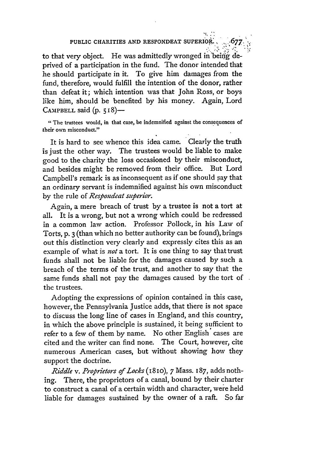to that very object. He was admittedly wronged in being deprived of a participation in the fund. The donor intended that he should participate in it. To give him damages from the fund, therefore, would fulfill the intention of the donor, rather than defeat it; which intention was that John Ross, or boys like him, should be benefited by his money. Again, Lord CAMPBELL said  $(p. 518)$ -

"The trustees would, in that case, be indemnified against the consequences of their own misconduct."

It is hard to see whence this idea came. Clearly the truth is just the other way. The trustees would be liable to make good to the charity the loss occasioned by their misconduct, and besides might be removed from their office. But Lord Campbell's remark is as inconsequent as if one should **say** that an ordinary servant is indemnified against his own misconduct by the rule of *Respondeat superior.*

Again, a mere breach of trust by a trustee is not a tort at all. It is a wrong, but not a wrong which could be redressed in a common law action. Professor Pollock, in his Law of Torts, p. 3 (than which no better authority can be found), brings out this distinction very clearly and expressly cites this as an example of what is *not* a tort. It is one thing to say that trust funds shall not be liable for the damages caused by such a breach of the terms of the trust, and another to say that the same funds shall not pay the damages caused by the tort of the trustees.

Adopting the expressions of opinion contained in this case, however, the Pennsylvania Justice adds, that there is not space to discuss the long line of cases in England, and this country, in which the above principle is sustained, it being sufficient to refer to a few of them by name. No other English cases are cited and the writer can find none. The Court, however, cite numerous American cases, but without showing how they support the doctrine.

*Riddle v. Proprietors of Locks* (1810), 7 Mass. 187, adds nothing. There, the proprietors of a canal, bound by their charter to construct a canal of a certain width and character, were held liable for damages sustained by the owner of a raft. So far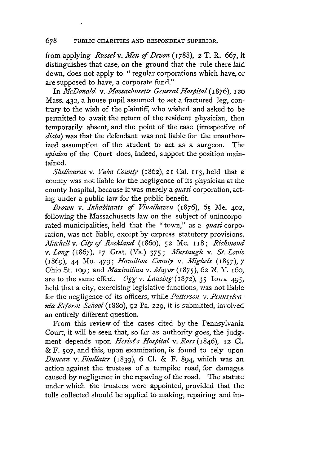from applying *Russelv. Hen of Dedvon* (1788), **2** T. R. 667, it distinguishes that case, on the ground that the rule there laid down, does not apply to " regular corporations which have, or are supposed to have, a corporate fund."

In *McDonald v.* Massachusetts Gcneral *Hospital* (1876), **120** Mass. 432, a house pupil assumed to set a fractured leg, contrary to the wish of the plaintiff, who wished and asked to be permitted to await the return of the resident physician, then temporarily absent, and the point of the case (irrespective of *dicta)* was that the defendant was not liable for the unauthorized assumption of the student to act as a surgeon. The *opinion* of the Court does, indeed, support the position maintained.

*Shelbourne v. Yuba County* (1862), 21 Cal. **113,** held that a county was not liable for the negligence of its physician at the county hospital, because it was merely a *quasi* corporation, acting under a public law for the public benefit.

*Brown v. Iuhabitants of Vinalhaven* (1876), **65** Me. 402, following the Massachusetts law on the subject of unincorporated municipalities, held that the "town," as a *quasi* corporation, was not liable, except by express statutory provisions. *, itchell v. City of Rockland* (186o), **52** Me. I18; *Richmond* v. *Long* (1867), 17 Grat. (Va.) 375 ; *iJurtaugl v. St. Louis* (I869), 44 Mo. 479; *Hamilton County v. Alighels (857), 7* Ohio St. 109; and *Maximilian v. Mayor* (1875), 62 N. Y. 160, are to the same effect. *Ogg v. Lansing* (1872), 35 Iowa 495, held that a city, exercising legislative functions, was not liable for the negligence of its officers, while *Pattcrson v. Pennsvlvania Reform School* (1880), 92 Pa. 229, it is submitted, involved an entirely different question.

From this review of the cases cited by the Pennsylvania Court, it will be seen that, so far as authority goes, the judgment depends upon *Heriot's Hospital v. Ross* (1846), 12 **Cl.** & F. 507, and this, upon examination, is found to rely upon *Duncan v. Findlater* (1839), 6 **Cl.** & F. 894, which was an action against the trustees of a turnpike road, for damages caused by negligence in the repaving of the road. The statute under which the trustees were appointed, provided that the tolls collected should be applied to making, repairing and im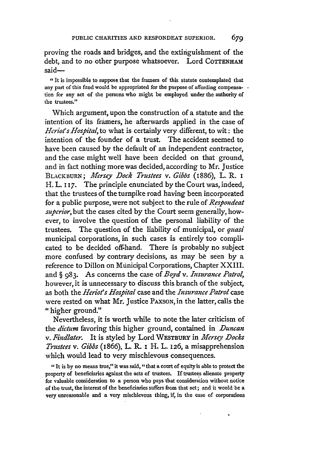proving the roads and bridges, and the extinguishment of the debt, and to no other purpose whatsoever. Lord **COTTENHAM** said-

"It is impossible to suppose that the framers of this statute contemplated that any part of this fund would be appropriated for the purpose of affording compensation for any act of the persons who might be employed under the authority of the trustees."

Which argument, upon the construction of a statute and the intention of its framers, he afterwards applied in the case of *Hriot's Hospital,* to what is certainly very different, to wit: the intention of the founder of a trust. The accident seemed to have been caused by the default of an independent contractor, and the case might well have been decided on that ground, and in fact nothing more was decided, according to Mr. Justice BLACKBURN; *Mersey Dock Trustees v. Gibbs* (I886), L. R. I H. L. 117. The principle enunciated by the Court was, indeed, that the trustees of the turnpike road having been incorporated for a public purpose, were not subject to the rule of *Respondeat superior,* but the cases cited **by** the Court seem generally, however, to involve the question of the personal liability of the trustees. The question of the liability of municipal, or *quasi* municipal corporations, in such cases is entirely too complicated to be decided off-hand. There is probably no subject more confused by contrary decisions, as may be seen by a reference to Dillon on Municipal Corporations, Chapter XXIII. and § 983. As concerns the case of *Boyd v. Insurance Patrol,* however, it is unnecessary to discuss this branch of the subject, as both the *Heriot's Hospital* case and the *Insurance Patrol* case were rested on what Mr. Justice PAXSON, in the latter, calls the "higher ground."

Nevertheless, it is worth while to note the later criticism of *the dictum* favoring this higher ground, contained in *Duncan v. Findlater.* It is styled by Lord WESTBURY in *Mersey Docks Trustees v. Gibbs* (I866), L. R. I H. L. **126,** a misapprehension which would lead to very mischievous consequences.

"It is **by** no means true," it was said, "that **a** court of equity is able to protect the property of beneficiaries against the acts of trustees. If trustees alienate property for valuable consideration to a person who pays that consideration without notice of the trust, the interest of the beneficiaries suffers from that act; and it would be a very unreasonable and a very mischievous thing, if, in the case of corporations

679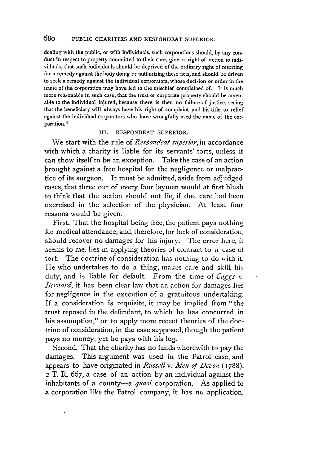dealing with the public, or with individuals, such corporations should, by any conduct in respect to property committed to their care, give a right of action to individuals, that such individuals should be deprived of the ordinary right of resorting for a remedy against the body doing or authorizing these acts, and should be driven to seek a remedy against the individual corporators, whose decision or order in the name of the corporation may have led to the mischief complained of. It is much more reasonable in such case, that the trust or corporate property should be amenable to the individual injured, because there is then no failure of justice, seeing that the beneficiary will always have his right of complaint and his title to relief against the individual corporators who have wrongfully used the name of the corporation."

# III. **RESPONDEAT** SUPERIOR.

We start with the rule of *Respondeat superior*, in accordance with which a charity is liable for its servants' torts, unless it can show itself to be an exception. Take the case of an action brought against a free hospital for the negligence or malpractice of its surgeon. It must be admitted, aside from adjudged cases, that three out of every four laymen would at first blush to think that the action should not lie, if due care had been exercised in the selection of the physician. At least four reasons would be given.

First. That the hospital being free, the patient pays nothing for medical attendance, and, therefore, for lack of consideration. should recover no damages for his injury. The error here, it seems to me, lies in applying theories of contract to a case cf tort. The doctrine of consideration has nothing to do with it. He who undertakes to do a thing, makes care and skill his duty, and is liable for default. From the time of Coggs v. *Bernard,* it has been clear law that an action for damages lies for negligence in the execution of a gratuitous undertaking. If a consideration is requisite, it may be implied from "the trust reposed in the defendant, to which **lie** has concurred in his assumption," or to apply more recent theories of the doctrine of consideration, in the case supposed, though the patient pays no money, yet he pays with his leg.

Second. That the charity has no funds wherewith to pay the damages. This argument was used in the Patrol case, and appears to have originated in *Russell v. Men of Devon* (1788), 2 T. R. 667, a case of an action by an individual against the inhabitants of a county-a *quasi* corporation. As applied to a corporation like the Patrol company, it has no application.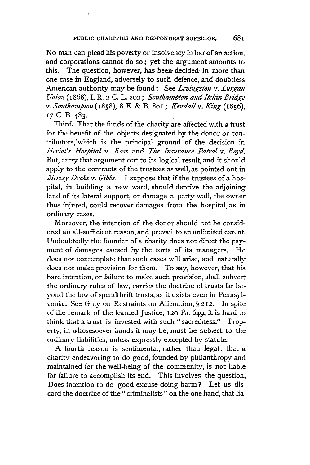No man can plead his poverty or insolvency in bar of an action, and corporations cannot do so; yet the argument amounts to this. The question, however, has been decided- in more than one case in England, adversely to such defence, and doubtless American authority may be found: See *Levingston v. Lurgan Union* (1868), I. R. 2 **C.** L. 202 **;** *Southampton and ltchin Bridge v. Southampton (I85* 8), 8 **E.** & B. **8O** I; *Kendall v. King* (I856), *17* C. B. 483.

Third. That the funds of the charity are affected with a trust for the benefit of the objects designated by the donor or contributors,'which is the principal ground of the decision in *h1criot's Hospital v. Ross* and *The Insurance Patrol v. Boyd.* But, carry that argument out to its logical result, and it should apply to the contracts of the trustees as well, as pointed out in *lersey Docks v. Gibbs.* I suppose that if the trustees of a hospital, in building a new ward, should deprive the adjoining land of its lateral support, or damage a party wall, the owner thus injured, could recover damages from the hospital as in ordinary cases.

Moreover, the intention of the donor should not be considered an all-sufficient reason, and prevail to an unlimited extent. Undoubtedly the founder of a charity does not direct the payment of damages caused by the torts of its managers. He does not contemplate that such cases will arise, and naturally does not make provision for them. To say, however, that his bare intention, or failure to make such provision, shall subvert the ordinary rules of law, carries the doctrine of trusts far beyond the law of spendthrift trusts, as it exists even in Pennsylvania: See Gray on Restraints on Alienation, § 212. In spite of the remark of the learned Justice, **120** Pa. 649, it is hard to think that a trust is invested with such "sacredness." Property, in whosesoever hands it may be, must be subject to the ordinary liabilities, unless expressly excepted by statute.

A fourth reason is sentimental, rather than legal: that a charity endeavoring to do good, founded by philanthropy and maintained for the well-being of the community, is not liable for failure to accomplish its end. This involves the question, Does intention to do good excuse doing harm? Let us discard the doctrine of the "criminalists" on the one hand, that lia-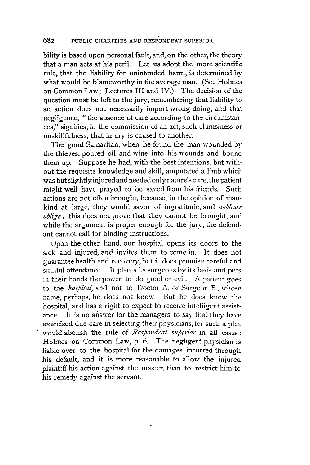bility is based upon personal fault, and, on the other, the theory that a man acts at his peril. Let us adopt the more scientific rule, that the liability for unintended harm, is determined by what would be blameworthy in the average man. (See Holmes on Common Law; Lectures III and IV.) The decision of the question must be left to the jury, remembering that liability to an action does not necessarily import wrong-doing, and that negligence, "the absence of care according to the circumstances," signifies, in the commission of an act, such clumsiness or unskillfulness, that injury is caused to another.

The good Samaritan, when he found the man wounded by the thieves, poured oil and wine into his wounds and bound them up. Suppose he had, with the best intentions, but without the requisite knowledge and skill, amputated a limb which was but slightly injured and needed only nature's cure, the patient might well have prayed to be saved from his friends. Such actions are not often brought, because, in the opinion of mankind at large, they would savor of ingratitude, and *noblesse oblige;* this does not prove that they cannot be brought, and while the argument is proper enough for the jury, the defendant cannot call for binding instructions.

Upon the other hand, our hospital opens its doors to the sick and injured, and invites them to come in. It does not guarantee health and recovery, but it does promise careful and skillful attendance. It places its surgeons by its beds and puts in their hands the power to do good or evil. **A** patient goes to the *hospital,* and not to Doctor A. or Surgeon B., whose name, perhaps, he does not know. But he does know the hospital, and has a right to expect to receive intelligent assistance. It is no answer for the managers to say that they have exercised due care in selecting their physicians, for such a plea would abolish the rule of *Respondeat superior* in all cases: Holmes on Common Law, p. 6. The negligent physician is liable over to the hospital for the damages incurred through his default, and it is more reasonable to allow the injured plaintiff his action against the master, than to restrict him to his remedy against the servant.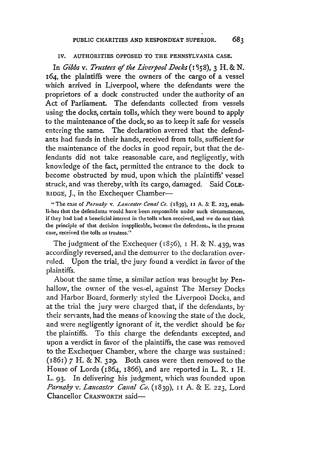#### IV. AUTHORITIES **OPPOSED TO THE PENNSYLVANIA CASE.**

In *Gibbs v. Trustees of the Liverpool Docks* (I S58), 3 H. & *N.* 164, the plaintiffs were the owners of the cargo of a vessel which arrived in Liverpool, where the defendants were the proprietors of a dock constructed under the authority of an Act of Parliament. The defendants collected from vessels using the docks, certain tolls, which they were bound to apply to the maintenance of the dock, so as to keep it safe for vessels entering the same. The declaration averred that the defendants had funds in their hands, received from tolls, sufficient for the maintenance of the docks in good repair, but that the defendants did not take reasonable care, and negligently, with knowledge of the fact, permitted the entrance to the dock to become obstructed by mud, upon which the plaintiffs' vessel struck, and was thereby, with its cargo, damaged. Said COLE-RIDGE, **J.,** in the Exchequer Chamber-

"The case of *Parnabs, v. Lancaster Canal Co.* **(1839), II** A. & **E. 223,** establi-hes that the defendants would have been responsible under such circumstances, if they had had a beneficial interest in the tolls when received, and we do not think the principle of that decision inapplicable, because the defendants, in the present case, received the tolls as trustees."

The judgment of the Exchequer (iS6), **I** H. *&* **N.** 439, was accordingly reversed, and the demurrer to the declaration overruled. Upon the trial, the jury found a verdict in favor of the plaintiffs.

About the same time, a similar action was brought **by** Penhallow, the owner of the vessel, against The Mersey Docks and Harbor Board, formerly styled the Liverpool Docks, and at the trial the jury were charged that, if the defendants, by their servants, had the means of knowing the state of the dock, and were negligently ignorant of it, the verdict should be for the plaintiffs. To this charge the defendants excepted, and upon a verdict in favor of the plaintiffs, the case was removed to the Exchequer Chamber, where the charge was sustained: (1861) 7 H. & **N. 329.** Both cases were then removed to the House of Lords (1864, 1866), and are reported in L. R. I H. L. 93. In delivering his judgment, which was founded upon *Parnaby v. Lancaster Canal Co.* (1839), 11 A. & E. 223, Lord Chancellor CRANWORTH said-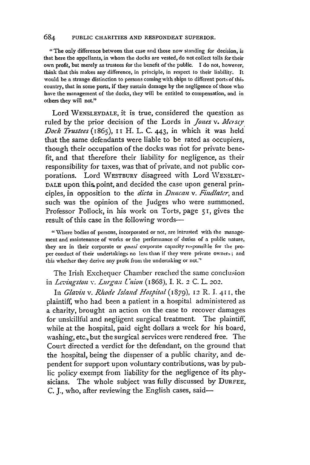"The only difference between that case and those now standing for decision, is that here the appellants, in whom the docks are vested, do not collect tolls for their own profit, **but** merely as trustees for the benefit of the public. I do not, however, think that this makes any difference, in principle, in respect **to** their liability. It would **be** a strange distinction to persons coming with ships to different ports of this country, that in some ports, if they sustain damage **by** the negligence of those who have the management of the docks, they will be entitled to compensation, and in others they will not."

Lord WENSLEYDALE, it is true, considered the question as ruled by the prior decision of the Lords in *Jones v. Mersey* Dock *Trustees (I865),* II H. L. C. 443, in which it was held that the same defendants were liable to be rated as occupiers, though their occupation of the docks was riot for private benefit, and that therefore their liability for negligence, as their responsibility for taxes, was that of private, and not public corporations. Lord WESTBURY disagreed with Lord WENSLEY-DALE upon this. point, and decided the case upon general principles, in opposition to the *dicta* in *Duncan v. Findlater*, and such was the opinion of the Judges who were summoned. Professor Pollock, in his work on Torts, page 51, gives the result of this case in the following words-

**",** Where bodies of persons, incorporated or not, are intrusted with the management and maintenance of works or the performance of duties of a public nature, they are in their corporate or *quasi* corporate capacity rcsponsible for the proper conduct of their undertakings no less than if they were private owners; and this whether they derive any profit from the undertaking or not."

The Irish Exchequer Chamber reached the same conclusion *in Levingston* **-'.** Lir-gan *Union* (1868), I. R. 2 C. L. 202.

In *Glavin v. Rhode Is/anid Hospital (1879), 12* R. I. 411, the plaintiff, who had been a patient in a hospital administered as a charity, brought an action on the case to recover damages for unskillful and negligent surgical treatment. The plaintiff while at the hospital, paid eight dollars a week for his board, washing, etc., but the surgical services were rendered free. The Court directed a verdict for the defendant, on the ground that the hospital, being the dispenser of a public charity, and dependent for support upon voluntary contributions, was by public policy exempt from liability for the negligence of its physicians. The whole subject was fully discussed by DURFEE, C. J., who, after reviewing the English cases, said-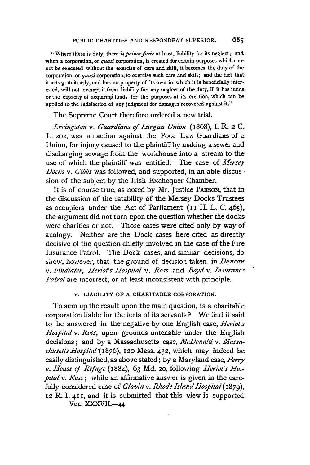"Where there is duty, there is *prima facie* at least, liability for its neglect; and when a corporation, or *quasi* corporation, is created for certain purposes which cannot be executed without the exercise of care and skill, it becomes the duty of the corporation, or *quasi* corporation,to exercise such care and skill; and the fact that it acts gratuitously, and has no property of its own in which it is beneficially interested, will not exempt it from liability for any neglect of the duty, if it has funds or the capacity of acquiring funds for the purposes of its creation, which can be applied to the satisfaction of any judgment for damages recovered against it."

The Supreme Court therefore ordered a new trial.

*Levingston v. Guardians of Lurgan Union* (1868), **I.** R. 2 *C.* L. 202, was an action against the Poor Law Guardians of a Union, for injury caused to the plaintiff **by** making a sewer and discharging sewage from the workhouse into a stream to the use of which the plaintiff was entitled. The case of *Mersey* Docks *v. Gibbs* was followed, and supported, in an able discussion of the subject **by** the Irish Exchequer Chamber.

It is of course true, as noted by Mr. Justice PAXSON, that in the discussion of the ratability of the Mersey Docks Trustees as occupiers under the Act of Parliament ( $11$  H. L. C.  $465$ ), the argument did not turn upon the question whether the docks were charities or not. Those cases were cited only **by** way of analogy. Neither are the Dock cases here cited as directly decisive of the question chiefly involved in the case of the Fire Insurance Patrol. The Dock cases, and similar decisions, do show, however, that the ground of decision taken in *Duncan v. Findlater, Heriot's Hospital v. Ross* and *Boyd v. Insurancz Patrol* are incorrect, or at least inconsistent with principle.

# V. LIABILITY OF A CHARITABLE CORPORATION.

To sum up the result upon the main question, Is a charitable corporation liable for the torts of its servants? We find it said to be answered in the negative by one English case, *Heriot's Hospital v. Ross,* upon grounds untenable under the English decisions; and by a Massachusetts case, McDonald *v. Massachusetts Hospital-(1876),* 120 Mass. 432, which may indeed be easily distinguished, as above stated; by a Maryland case, *Perry v.* House *of Refuge* (1884), 63 Md. 20, following *Heriot's Hos. pital v. Ross;* while an affirmative answer is given in the carefully considered case of *Glavin v. Rhode Island Hospital (1879),* 12 R. I. 411, and it is submitted that this view is supported VOL. XXXVII.-44